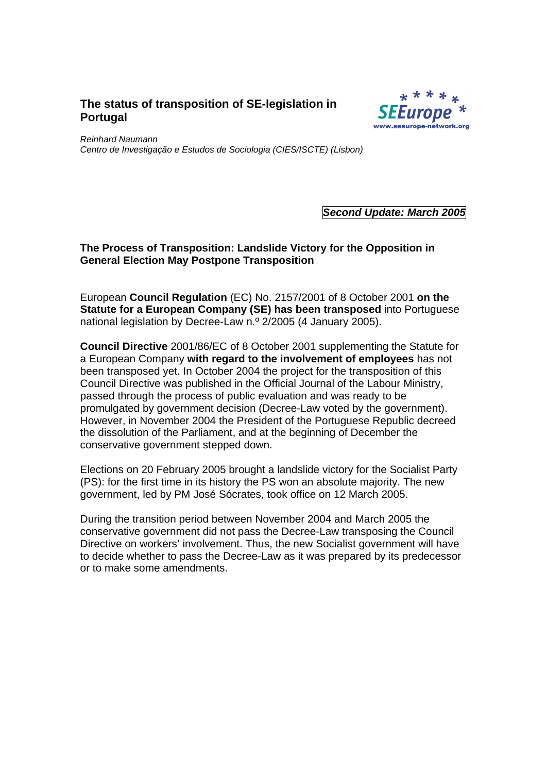# **The status of transposition of SE-legislation in Portugal**



Reinhard Naumann Centro de Investigação e Estudos de Sociologia (CIES/ISCTE) (Lisbon)

**Second Update: March 2005** 

## **The Process of Transposition: Landslide Victory for the Opposition in General Election May Postpone Transposition**

European **Council Regulation** (EC) No. 2157/2001 of 8 October 2001 **on the Statute for a European Company (SE) has been transposed** into Portuguese national legislation by Decree-Law n.º 2/2005 (4 January 2005).

**Council Directive** 2001/86/EC of 8 October 2001 supplementing the Statute for a European Company **with regard to the involvement of employees** has not been transposed yet. In October 2004 the project for the transposition of this Council Directive was published in the Official Journal of the Labour Ministry, passed through the process of public evaluation and was ready to be promulgated by government decision (Decree-Law voted by the government). However, in November 2004 the President of the Portuguese Republic decreed the dissolution of the Parliament, and at the beginning of December the conservative government stepped down.

Elections on 20 February 2005 brought a landslide victory for the Socialist Party (PS): for the first time in its history the PS won an absolute majority. The new government, led by PM José Sócrates, took office on 12 March 2005.

During the transition period between November 2004 and March 2005 the conservative government did not pass the Decree-Law transposing the Council Directive on workers' involvement. Thus, the new Socialist government will have to decide whether to pass the Decree-Law as it was prepared by its predecessor or to make some amendments.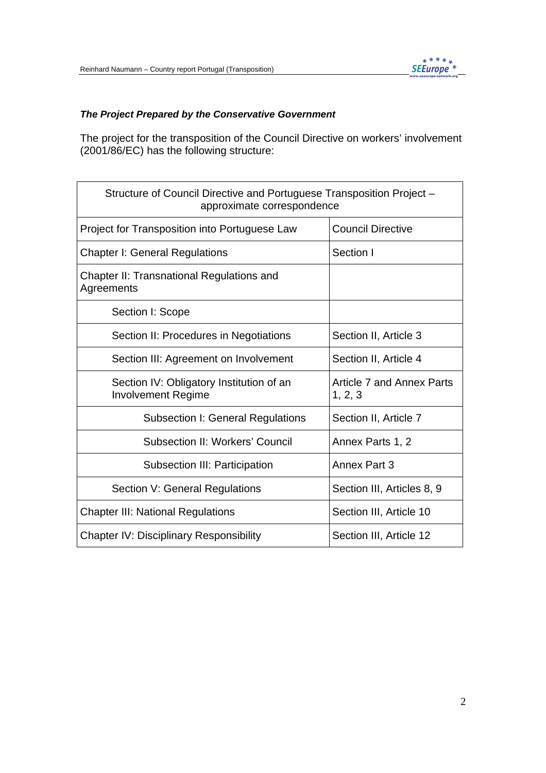

## **The Project Prepared by the Conservative Government**

The project for the transposition of the Council Directive on workers' involvement (2001/86/EC) has the following structure:

| Structure of Council Directive and Portuguese Transposition Project -<br>approximate correspondence |                                             |
|-----------------------------------------------------------------------------------------------------|---------------------------------------------|
| Project for Transposition into Portuguese Law                                                       | <b>Council Directive</b>                    |
| <b>Chapter I: General Regulations</b>                                                               | Section I                                   |
| Chapter II: Transnational Regulations and<br>Agreements                                             |                                             |
| Section I: Scope                                                                                    |                                             |
| Section II: Procedures in Negotiations                                                              | Section II, Article 3                       |
| Section III: Agreement on Involvement                                                               | Section II, Article 4                       |
| Section IV: Obligatory Institution of an<br><b>Involvement Regime</b>                               | <b>Article 7 and Annex Parts</b><br>1, 2, 3 |
| <b>Subsection I: General Regulations</b>                                                            | Section II, Article 7                       |
| <b>Subsection II: Workers' Council</b>                                                              | Annex Parts 1, 2                            |
| Subsection III: Participation                                                                       | Annex Part 3                                |
| Section V: General Regulations                                                                      | Section III, Articles 8, 9                  |
| <b>Chapter III: National Regulations</b>                                                            | Section III, Article 10                     |
| <b>Chapter IV: Disciplinary Responsibility</b>                                                      | Section III, Article 12                     |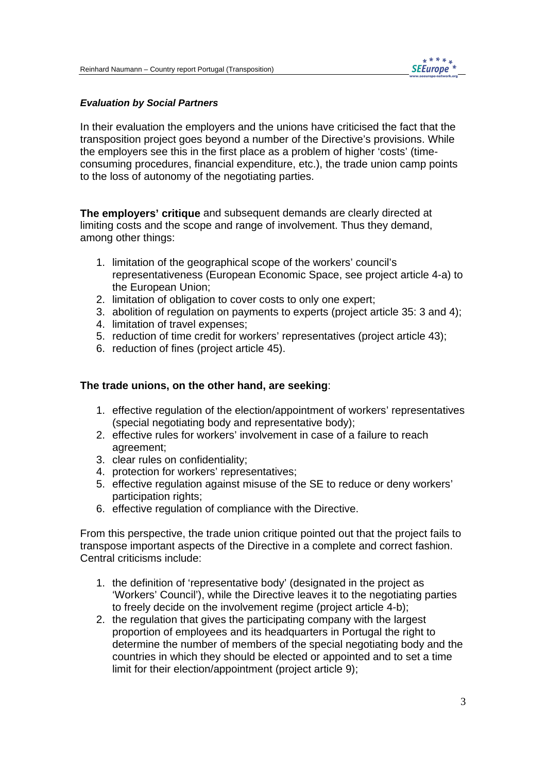

#### **Evaluation by Social Partners**

In their evaluation the employers and the unions have criticised the fact that the transposition project goes beyond a number of the Directive's provisions. While the employers see this in the first place as a problem of higher 'costs' (timeconsuming procedures, financial expenditure, etc.), the trade union camp points to the loss of autonomy of the negotiating parties.

**The employers' critique** and subsequent demands are clearly directed at limiting costs and the scope and range of involvement. Thus they demand, among other things:

- 1. limitation of the geographical scope of the workers' council's representativeness (European Economic Space, see project article 4-a) to the European Union;
- 2. limitation of obligation to cover costs to only one expert;
- 3. abolition of regulation on payments to experts (project article 35: 3 and 4);
- 4. limitation of travel expenses;
- 5. reduction of time credit for workers' representatives (project article 43);
- 6. reduction of fines (project article 45).

### **The trade unions, on the other hand, are seeking**:

- 1. effective regulation of the election/appointment of workers' representatives (special negotiating body and representative body);
- 2. effective rules for workers' involvement in case of a failure to reach agreement;
- 3. clear rules on confidentiality;
- 4. protection for workers' representatives;
- 5. effective regulation against misuse of the SE to reduce or deny workers' participation rights;
- 6. effective regulation of compliance with the Directive.

From this perspective, the trade union critique pointed out that the project fails to transpose important aspects of the Directive in a complete and correct fashion. Central criticisms include:

- 1. the definition of 'representative body' (designated in the project as 'Workers' Council'), while the Directive leaves it to the negotiating parties to freely decide on the involvement regime (project article 4-b);
- 2. the regulation that gives the participating company with the largest proportion of employees and its headquarters in Portugal the right to determine the number of members of the special negotiating body and the countries in which they should be elected or appointed and to set a time limit for their election/appointment (project article 9);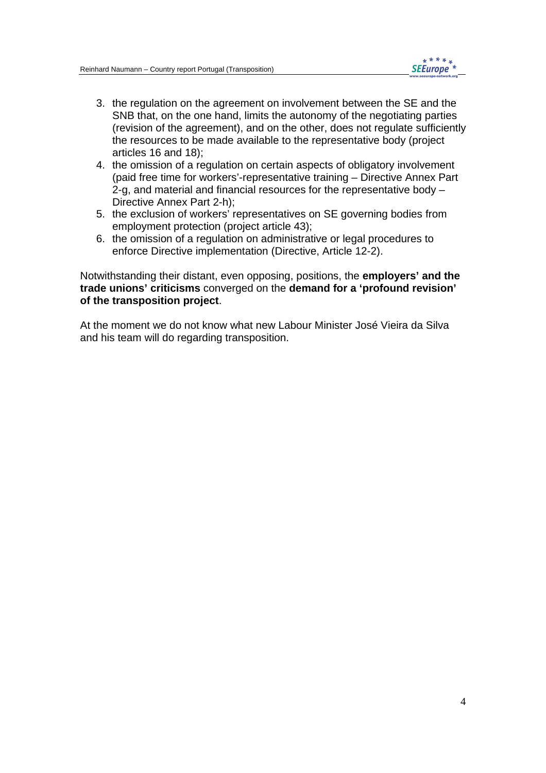- 3. the regulation on the agreement on involvement between the SE and the SNB that, on the one hand, limits the autonomy of the negotiating parties (revision of the agreement), and on the other, does not regulate sufficiently the resources to be made available to the representative body (project articles 16 and 18);
- 4. the omission of a regulation on certain aspects of obligatory involvement (paid free time for workers'-representative training – Directive Annex Part 2-g, and material and financial resources for the representative body – Directive Annex Part 2-h);
- 5. the exclusion of workers' representatives on SE governing bodies from employment protection (project article 43);
- 6. the omission of a regulation on administrative or legal procedures to enforce Directive implementation (Directive, Article 12-2).

Notwithstanding their distant, even opposing, positions, the **employers' and the trade unions' criticisms** converged on the **demand for a 'profound revision' of the transposition project**.

At the moment we do not know what new Labour Minister José Vieira da Silva and his team will do regarding transposition.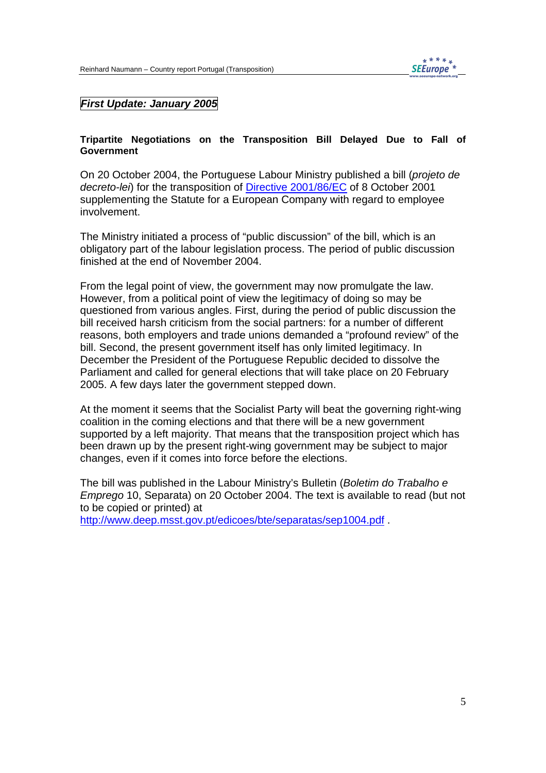## **First Update: January 2005**

#### **Tripartite Negotiations on the Transposition Bill Delayed Due to Fall of Government**

On 20 October 2004, the Portuguese Labour Ministry published a bill (projeto de decreto-lei) for the transposition of Directive 2001/86/EC of 8 October 2001 supplementing the Statute for a European Company with regard to employee involvement.

The Ministry initiated a process of "public discussion" of the bill, which is an obligatory part of the labour legislation process. The period of public discussion finished at the end of November 2004.

From the legal point of view, the government may now promulgate the law. However, from a political point of view the legitimacy of doing so may be questioned from various angles. First, during the period of public discussion the bill received harsh criticism from the social partners: for a number of different reasons, both employers and trade unions demanded a "profound review" of the bill. Second, the present government itself has only limited legitimacy. In December the President of the Portuguese Republic decided to dissolve the Parliament and called for general elections that will take place on 20 February 2005. A few days later the government stepped down.

At the moment it seems that the Socialist Party will beat the governing right-wing coalition in the coming elections and that there will be a new government supported by a left majority. That means that the transposition project which has been drawn up by the present right-wing government may be subject to major changes, even if it comes into force before the elections.

The bill was published in the Labour Ministry's Bulletin (Boletim do Trabalho e Emprego 10, Separata) on 20 October 2004. The text is available to read (but not to be copied or printed) at

http://www.deep.msst.gov.pt/edicoes/bte/separatas/sep1004.pdf .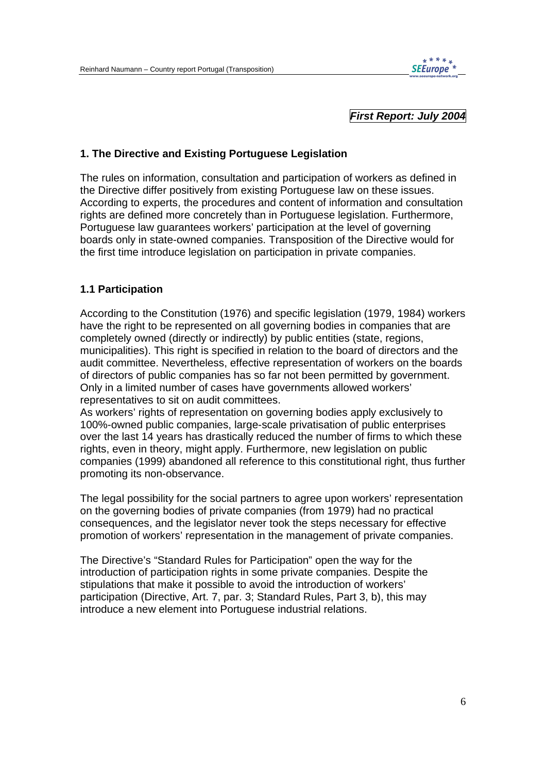

### **First Report: July 2004**

### **1. The Directive and Existing Portuguese Legislation**

The rules on information, consultation and participation of workers as defined in the Directive differ positively from existing Portuguese law on these issues. According to experts, the procedures and content of information and consultation rights are defined more concretely than in Portuguese legislation. Furthermore, Portuguese law guarantees workers' participation at the level of governing boards only in state-owned companies. Transposition of the Directive would for the first time introduce legislation on participation in private companies.

#### **1.1 Participation**

According to the Constitution (1976) and specific legislation (1979, 1984) workers have the right to be represented on all governing bodies in companies that are completely owned (directly or indirectly) by public entities (state, regions, municipalities). This right is specified in relation to the board of directors and the audit committee. Nevertheless, effective representation of workers on the boards of directors of public companies has so far not been permitted by government. Only in a limited number of cases have governments allowed workers' representatives to sit on audit committees.

As workers' rights of representation on governing bodies apply exclusively to 100%-owned public companies, large-scale privatisation of public enterprises over the last 14 years has drastically reduced the number of firms to which these rights, even in theory, might apply. Furthermore, new legislation on public companies (1999) abandoned all reference to this constitutional right, thus further promoting its non-observance.

The legal possibility for the social partners to agree upon workers' representation on the governing bodies of private companies (from 1979) had no practical consequences, and the legislator never took the steps necessary for effective promotion of workers' representation in the management of private companies.

The Directive's "Standard Rules for Participation" open the way for the introduction of participation rights in some private companies. Despite the stipulations that make it possible to avoid the introduction of workers' participation (Directive, Art. 7, par. 3; Standard Rules, Part 3, b), this may introduce a new element into Portuguese industrial relations.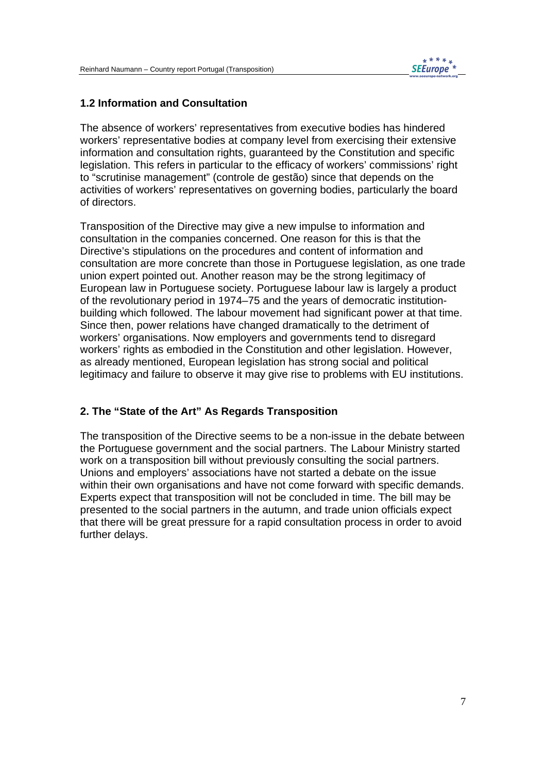

### **1.2 Information and Consultation**

The absence of workers' representatives from executive bodies has hindered workers' representative bodies at company level from exercising their extensive information and consultation rights, guaranteed by the Constitution and specific legislation. This refers in particular to the efficacy of workers' commissions' right to "scrutinise management" (controle de gestão) since that depends on the activities of workers' representatives on governing bodies, particularly the board of directors.

Transposition of the Directive may give a new impulse to information and consultation in the companies concerned. One reason for this is that the Directive's stipulations on the procedures and content of information and consultation are more concrete than those in Portuguese legislation, as one trade union expert pointed out. Another reason may be the strong legitimacy of European law in Portuguese society. Portuguese labour law is largely a product of the revolutionary period in 1974–75 and the years of democratic institutionbuilding which followed. The labour movement had significant power at that time. Since then, power relations have changed dramatically to the detriment of workers' organisations. Now employers and governments tend to disregard workers' rights as embodied in the Constitution and other legislation. However, as already mentioned, European legislation has strong social and political legitimacy and failure to observe it may give rise to problems with EU institutions.

## **2. The "State of the Art" As Regards Transposition**

The transposition of the Directive seems to be a non-issue in the debate between the Portuguese government and the social partners. The Labour Ministry started work on a transposition bill without previously consulting the social partners. Unions and employers' associations have not started a debate on the issue within their own organisations and have not come forward with specific demands. Experts expect that transposition will not be concluded in time. The bill may be presented to the social partners in the autumn, and trade union officials expect that there will be great pressure for a rapid consultation process in order to avoid further delays.